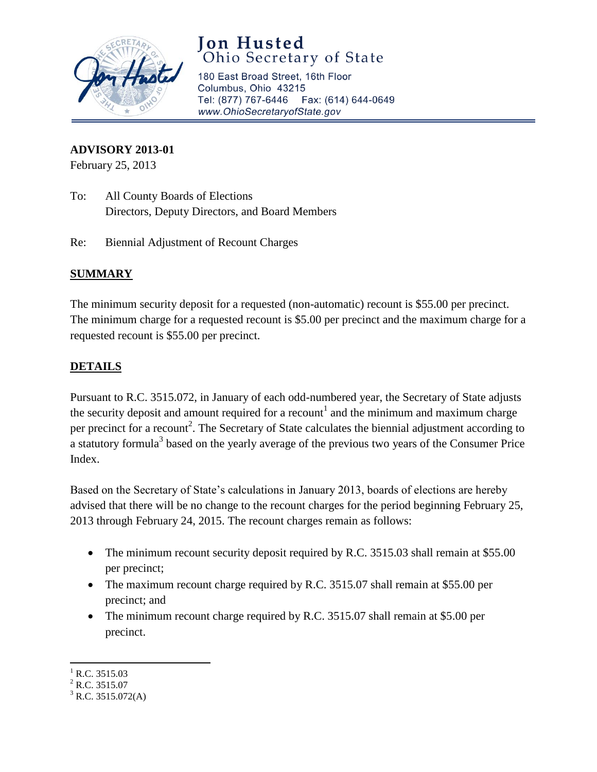

## **Jon Husted** Ohio Secretary of State

180 East Broad Street, 16th Floor Columbus, Ohio 43215 Tel: (877) 767-6446 Fax: (614) 644-0649 www.OhioSecretaryofState.gov

#### **ADVISORY 2013-01**

February 25, 2013

- To: All County Boards of Elections Directors, Deputy Directors, and Board Members
- Re: Biennial Adjustment of Recount Charges

### **SUMMARY**

The minimum security deposit for a requested (non-automatic) recount is \$55.00 per precinct. The minimum charge for a requested recount is \$5.00 per precinct and the maximum charge for a requested recount is \$55.00 per precinct.

### **DETAILS**

Pursuant to R.C. 3515.072, in January of each odd-numbered year, the Secretary of State adjusts the security deposit and amount required for a recount<sup>1</sup> and the minimum and maximum charge per precinct for a recount<sup>2</sup>. The Secretary of State calculates the biennial adjustment according to a statutory formula<sup>3</sup> based on the yearly average of the previous two years of the Consumer Price Index.

Based on the Secretary of State's calculations in January 2013, boards of elections are hereby advised that there will be no change to the recount charges for the period beginning February 25, 2013 through February 24, 2015. The recount charges remain as follows:

- The minimum recount security deposit required by R.C. 3515.03 shall remain at \$55.00 per precinct;
- The maximum recount charge required by R.C. 3515.07 shall remain at \$55.00 per precinct; and
- The minimum recount charge required by R.C. 3515.07 shall remain at \$5.00 per precinct.

 $\overline{\phantom{a}}$  $^{1}$  R.C. 3515.03

 $^{2}$  R.C. 3515.07

 $3$  R.C. 3515.072(A)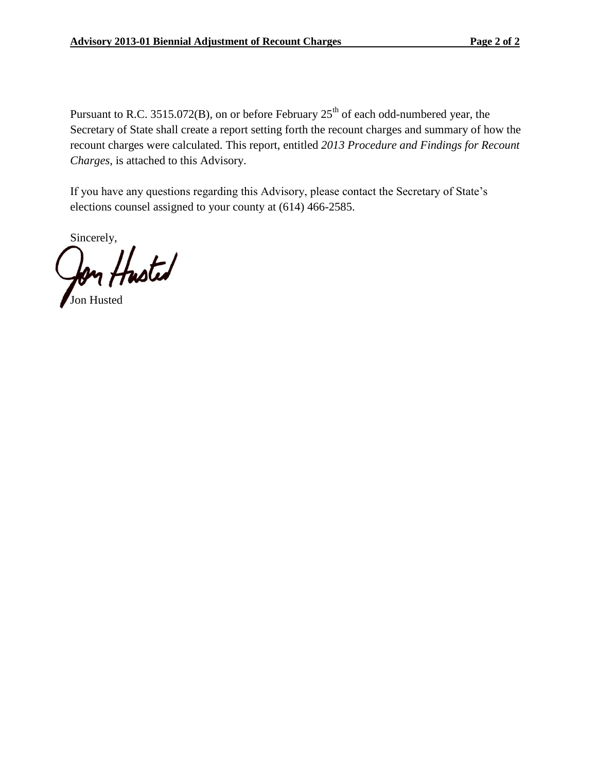Pursuant to R.C. 3515.072(B), on or before February  $25<sup>th</sup>$  of each odd-numbered year, the Secretary of State shall create a report setting forth the recount charges and summary of how the recount charges were calculated. This report, entitled *2013 Procedure and Findings for Recount Charges*, is attached to this Advisory.

If you have any questions regarding this Advisory, please contact the Secretary of State's elections counsel assigned to your county at (614) 466-2585.

Sincerely,

Jon Husted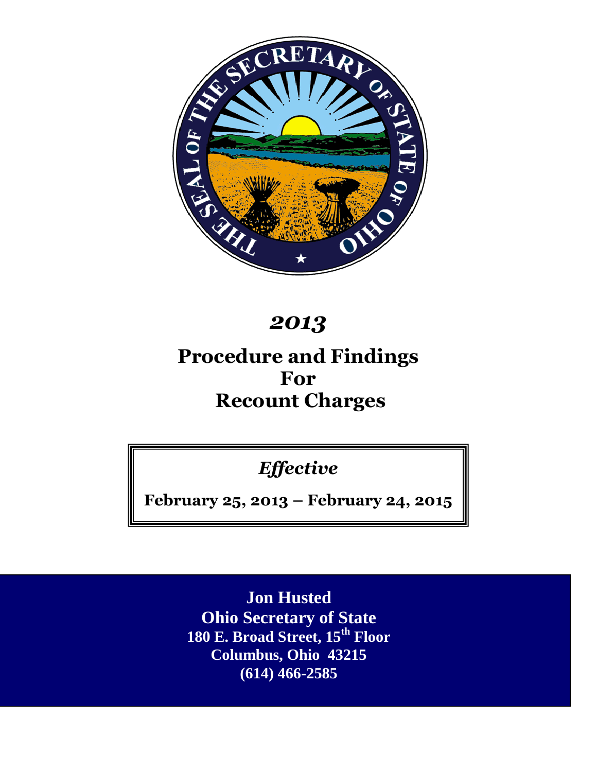

# *2013*

## **Procedure and Findings For Recount Charges**

*Effective*

**February 25, 2013 – February 24, 2015**

**Jon Husted Ohio Secretary of State 180 E. Broad Street, 15th Floor Columbus, Ohio 43215 (614) 466-2585**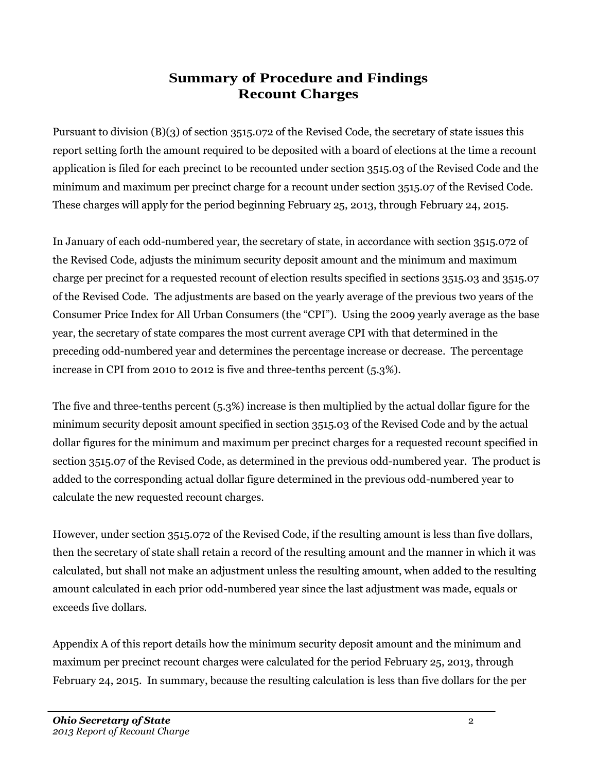## **Summary of Procedure and Findings Recount Charges**

Pursuant to division (B)(3) of section 3515.072 of the Revised Code, the secretary of state issues this report setting forth the amount required to be deposited with a board of elections at the time a recount application is filed for each precinct to be recounted under section 3515.03 of the Revised Code and the minimum and maximum per precinct charge for a recount under section 3515.07 of the Revised Code. These charges will apply for the period beginning February 25, 2013, through February 24, 2015.

In January of each odd-numbered year, the secretary of state, in accordance with section 3515.072 of the Revised Code, adjusts the minimum security deposit amount and the minimum and maximum charge per precinct for a requested recount of election results specified in sections 3515.03 and 3515.07 of the Revised Code. The adjustments are based on the yearly average of the previous two years of the Consumer Price Index for All Urban Consumers (the "CPI"). Using the 2009 yearly average as the base year, the secretary of state compares the most current average CPI with that determined in the preceding odd-numbered year and determines the percentage increase or decrease. The percentage increase in CPI from 2010 to 2012 is five and three-tenths percent (5.3%).

The five and three-tenths percent (5.3%) increase is then multiplied by the actual dollar figure for the minimum security deposit amount specified in section 3515.03 of the Revised Code and by the actual dollar figures for the minimum and maximum per precinct charges for a requested recount specified in section 3515.07 of the Revised Code, as determined in the previous odd-numbered year. The product is added to the corresponding actual dollar figure determined in the previous odd-numbered year to calculate the new requested recount charges.

However, under section 3515.072 of the Revised Code, if the resulting amount is less than five dollars, then the secretary of state shall retain a record of the resulting amount and the manner in which it was calculated, but shall not make an adjustment unless the resulting amount, when added to the resulting amount calculated in each prior odd-numbered year since the last adjustment was made, equals or exceeds five dollars.

Appendix A of this report details how the minimum security deposit amount and the minimum and maximum per precinct recount charges were calculated for the period February 25, 2013, through February 24, 2015. In summary, because the resulting calculation is less than five dollars for the per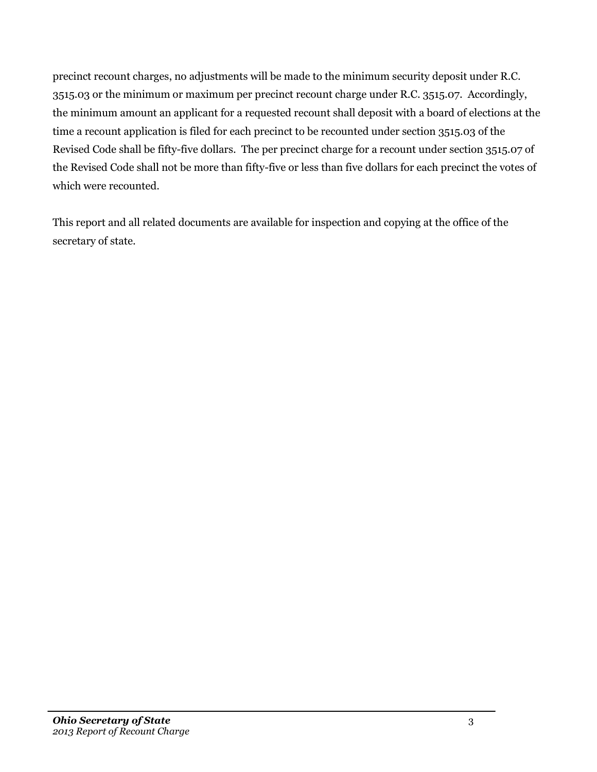precinct recount charges, no adjustments will be made to the minimum security deposit under R.C. 3515.03 or the minimum or maximum per precinct recount charge under R.C. 3515.07. Accordingly, the minimum amount an applicant for a requested recount shall deposit with a board of elections at the time a recount application is filed for each precinct to be recounted under section 3515.03 of the Revised Code shall be fifty-five dollars. The per precinct charge for a recount under section 3515.07 of the Revised Code shall not be more than fifty-five or less than five dollars for each precinct the votes of which were recounted.

This report and all related documents are available for inspection and copying at the office of the secretary of state.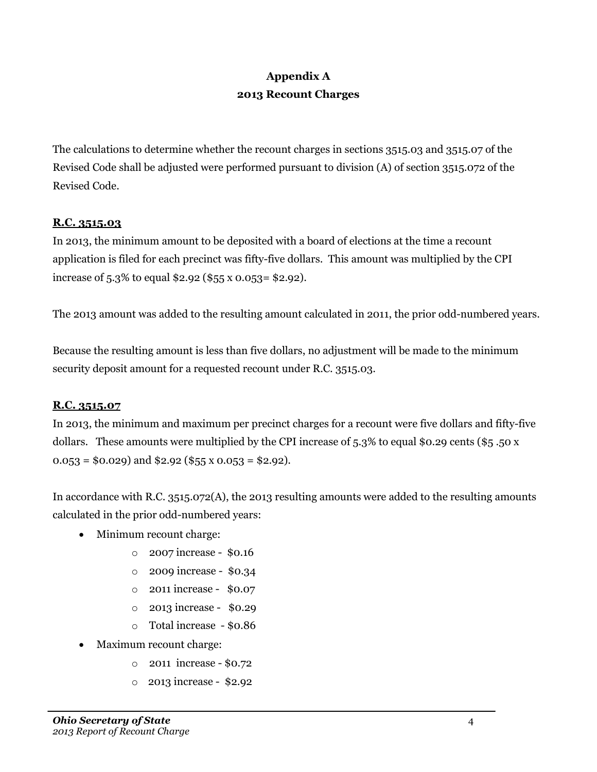## **Appendix A 2013 Recount Charges**

The calculations to determine whether the recount charges in sections 3515.03 and 3515.07 of the Revised Code shall be adjusted were performed pursuant to division (A) of section 3515.072 of the Revised Code.

### **R.C. 3515.03**

In 2013, the minimum amount to be deposited with a board of elections at the time a recount application is filed for each precinct was fifty-five dollars. This amount was multiplied by the CPI increase of 5.3% to equal \$2.92 (\$55 x 0.053= \$2.92).

The 2013 amount was added to the resulting amount calculated in 2011, the prior odd-numbered years.

Because the resulting amount is less than five dollars, no adjustment will be made to the minimum security deposit amount for a requested recount under R.C. 3515.03.

### **R.C. 3515.07**

In 2013, the minimum and maximum per precinct charges for a recount were five dollars and fifty-five dollars. These amounts were multiplied by the CPI increase of  $5.3\%$  to equal \$0.29 cents (\$5.50 x  $0.053 = $0.029$  and \$2.92 (\$55 x 0.053 = \$2.92).

In accordance with R.C. 3515.072(A), the 2013 resulting amounts were added to the resulting amounts calculated in the prior odd-numbered years:

- Minimum recount charge:
	- o 2007 increase \$0.16
	- o 2009 increase \$0.34
	- o 2011 increase \$0.07
	- o 2013 increase \$0.29
	- o Total increase \$0.86
- Maximum recount charge:
	- o 2011 increase \$0.72
	- o 2013 increase \$2.92